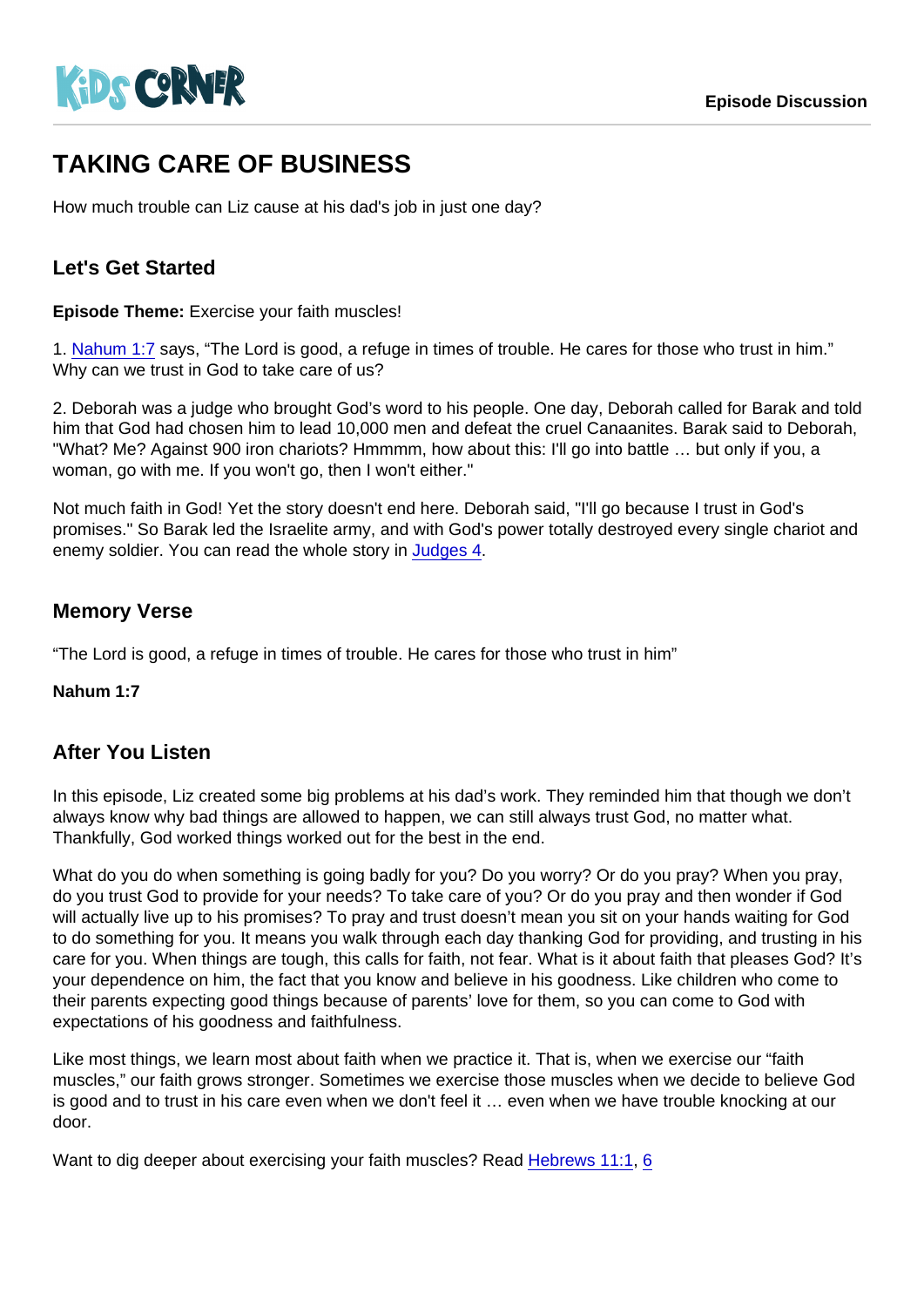# TAKING CARE OF BUSINESS

How much trouble can Liz cause at his dad's job in just one day?

#### Let's Get Started

Episode Theme: Exercise your faith muscles!

1. [Nahum 1:7](https://www.biblegateway.com/passage/?search=Nahum+1:7) says, "The Lord is good, a refuge in times of trouble. He cares for those who trust in him." Why can we trust in God to take care of us?

2. Deborah was a judge who brought God's word to his people. One day, Deborah called for Barak and told him that God had chosen him to lead 10,000 men and defeat the cruel Canaanites. Barak said to Deborah, "What? Me? Against 900 iron chariots? Hmmmm, how about this: I'll go into battle … but only if you, a woman, go with me. If you won't go, then I won't either."

Not much faith in God! Yet the story doesn't end here. Deborah said, "I'll go because I trust in God's promises." So Barak led the Israelite army, and with God's power totally destroyed every single chariot and enemy soldier. You can read the whole story in [Judges 4](https://www.biblegateway.com/passage/?search=Judges+4).

#### Memory Verse

"The Lord is good, a refuge in times of trouble. He cares for those who trust in him"

Nahum 1:7

#### After You Listen

In this episode, Liz created some big problems at his dad's work. They reminded him that though we don't always know why bad things are allowed to happen, we can still always trust God, no matter what. Thankfully, God worked things worked out for the best in the end.

What do you do when something is going badly for you? Do you worry? Or do you pray? When you pray, do you trust God to provide for your needs? To take care of you? Or do you pray and then wonder if God will actually live up to his promises? To pray and trust doesn't mean you sit on your hands waiting for God to do something for you. It means you walk through each day thanking God for providing, and trusting in his care for you. When things are tough, this calls for faith, not fear. What is it about faith that pleases God? It's your dependence on him, the fact that you know and believe in his goodness. Like children who come to their parents expecting good things because of parents' love for them, so you can come to God with expectations of his goodness and faithfulness.

Like most things, we learn most about faith when we practice it. That is, when we exercise our "faith muscles," our faith grows stronger. Sometimes we exercise those muscles when we decide to believe God is good and to trust in his care even when we don't feel it … even when we have trouble knocking at our door.

Want to dig deeper about exercising your faith muscles? Read [Hebrews 11:1](https://www.biblegateway.com/passage/?search=Hebrews+11:1), [6](https://www.biblegateway.com/passage/?search=Hebrews+11:6)